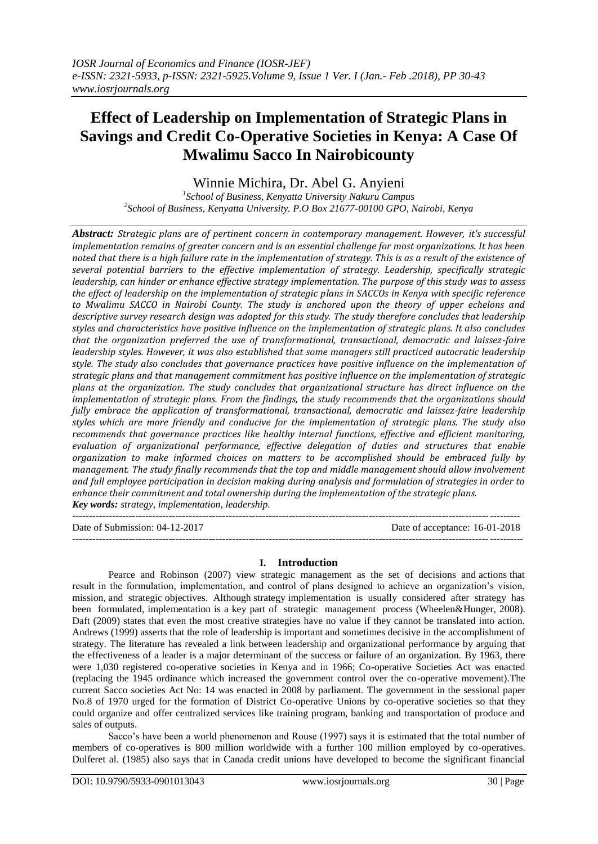# **Effect of Leadership on Implementation of Strategic Plans in Savings and Credit Co-Operative Societies in Kenya: A Case Of Mwalimu Sacco In Nairobicounty**

Winnie Michira, Dr. Abel G. Anyieni

*1 School of Business, Kenyatta University Nakuru Campus 2 School of Business, Kenyatta University. P.O Box 21677-00100 GPO, Nairobi, Kenya*

*Abstract: Strategic plans are of pertinent concern in contemporary management. However, it's successful implementation remains of greater concern and is an essential challenge for most organizations. It has been noted that there is a high failure rate in the implementation of strategy. This is as a result of the existence of several potential barriers to the effective implementation of strategy. Leadership, specifically strategic leadership, can hinder or enhance effective strategy implementation. The purpose of this study was to assess the effect of leadership on the implementation of strategic plans in SACCOs in Kenya with specific reference to Mwalimu SACCO in Nairobi County. The study is anchored upon the theory of upper echelons and descriptive survey research design was adopted for this study. The study therefore concludes that leadership styles and characteristics have positive influence on the implementation of strategic plans. It also concludes that the organization preferred the use of transformational, transactional, democratic and laissez-faire leadership styles. However, it was also established that some managers still practiced autocratic leadership style. The study also concludes that governance practices have positive influence on the implementation of strategic plans and that management commitment has positive influence on the implementation of strategic plans at the organization. The study concludes that organizational structure has direct influence on the implementation of strategic plans. From the findings, the study recommends that the organizations should fully embrace the application of transformational, transactional, democratic and laissez-faire leadership styles which are more friendly and conducive for the implementation of strategic plans. The study also recommends that governance practices like healthy internal functions, effective and efficient monitoring, evaluation of organizational performance, effective delegation of duties and structures that enable organization to make informed choices on matters to be accomplished should be embraced fully by management. The study finally recommends that the top and middle management should allow involvement and full employee participation in decision making during analysis and formulation of strategies in order to enhance their commitment and total ownership during the implementation of the strategic plans. Key words: strategy, implementation, leadership.*

-------------------------------------------------------------------------------------------------------------------------------------- Date of Submission: 04-12-2017 Date of acceptance: 16-01-2018 ---------------------------------------------------------------------------------------------------------------------------------------

## **I. Introduction**

Pearce and Robinson (2007) view strategic management as the set of decisions and actions that result in the formulation, implementation, and control of plans designed to achieve an organization"s vision, mission, and strategic objectives. Although strategy implementation is usually considered after strategy has been formulated, implementation is a key part of strategic management process (Wheelen&Hunger, 2008). Daft (2009) states that even the most creative strategies have no value if they cannot be translated into action. Andrews (1999) asserts that the role of leadership is important and sometimes decisive in the accomplishment of strategy. The literature has revealed a link between leadership and organizational performance by arguing that the effectiveness of a leader is a major determinant of the success or failure of an organization. By 1963, there were 1,030 registered co-operative societies in Kenya and in 1966; Co-operative Societies Act was enacted (replacing the 1945 ordinance which increased the government control over the co-operative movement).The current Sacco societies Act No: 14 was enacted in 2008 by parliament. The government in the sessional paper No.8 of 1970 urged for the formation of District Co-operative Unions by co-operative societies so that they could organize and offer centralized services like training program, banking and transportation of produce and sales of outputs.

Sacco's have been a world phenomenon and Rouse (1997) says it is estimated that the total number of members of co-operatives is 800 million worldwide with a further 100 million employed by co-operatives. Dulferet al. (1985) also says that in Canada credit unions have developed to become the significant financial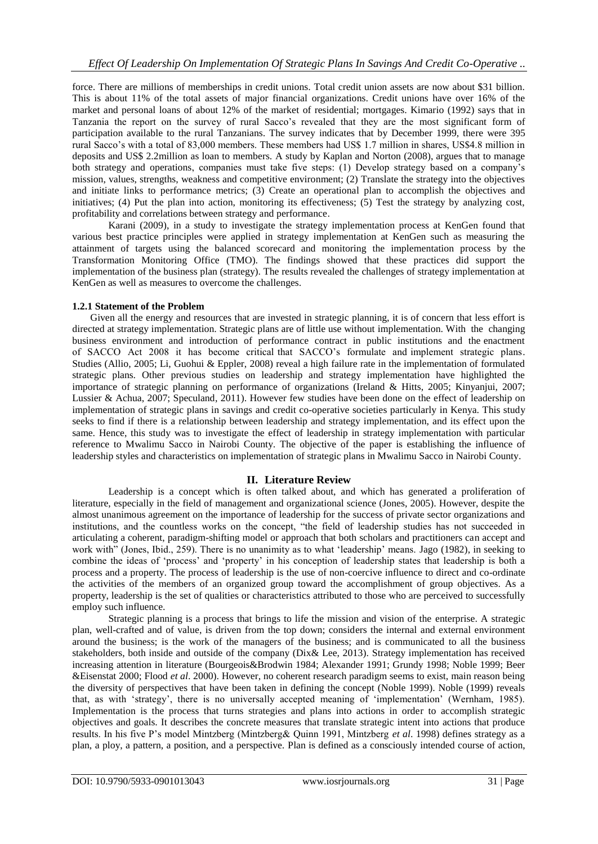force. There are millions of memberships in credit unions. Total credit union assets are now about \$31 billion. This is about 11% of the total assets of major financial organizations. Credit unions have over 16% of the market and personal loans of about 12% of the market of residential; mortgages. Kimario (1992) says that in Tanzania the report on the survey of rural Sacco"s revealed that they are the most significant form of participation available to the rural Tanzanians. The survey indicates that by December 1999, there were 395 rural Sacco"s with a total of 83,000 members. These members had US\$ 1.7 million in shares, US\$4.8 million in deposits and US\$ 2.2million as loan to members. A study by Kaplan and Norton (2008), argues that to manage both strategy and operations, companies must take five steps: (1) Develop strategy based on a company's mission, values, strengths, weakness and competitive environment; (2) Translate the strategy into the objectives and initiate links to performance metrics; (3) Create an operational plan to accomplish the objectives and initiatives; (4) Put the plan into action, monitoring its effectiveness; (5) Test the strategy by analyzing cost, profitability and correlations between strategy and performance.

Karani (2009), in a study to investigate the strategy implementation process at KenGen found that various best practice principles were applied in strategy implementation at KenGen such as measuring the attainment of targets using the balanced scorecard and monitoring the implementation process by the Transformation Monitoring Office (TMO). The findings showed that these practices did support the implementation of the business plan (strategy). The results revealed the challenges of strategy implementation at KenGen as well as measures to overcome the challenges.

## **1.2.1 Statement of the Problem**

Given all the energy and resources that are invested in strategic planning, it is of concern that less effort is directed at strategy implementation. Strategic plans are of little use without implementation. With the changing business environment and introduction of performance contract in public institutions and the enactment of SACCO Act 2008 it has become critical that SACCO"s formulate and implement strategic plans. Studies (Allio, 2005; Li, Guohui & Eppler, 2008) reveal a high failure rate in the implementation of formulated strategic plans. Other previous studies on leadership and strategy implementation have highlighted the importance of strategic planning on performance of organizations (Ireland & Hitts, 2005; Kinyanjui, 2007; Lussier & Achua, 2007; Speculand, 2011). However few studies have been done on the effect of leadership on implementation of strategic plans in savings and credit co-operative societies particularly in Kenya. This study seeks to find if there is a relationship between leadership and strategy implementation, and its effect upon the same. Hence, this study was to investigate the effect of leadership in strategy implementation with particular reference to Mwalimu Sacco in Nairobi County. The objective of the paper is establishing the influence of leadership styles and characteristics on implementation of strategic plans in Mwalimu Sacco in Nairobi County.

## **II. Literature Review**

Leadership is a concept which is often talked about, and which has generated a proliferation of literature, especially in the field of management and organizational science (Jones, 2005). However, despite the almost unanimous agreement on the importance of leadership for the success of private sector organizations and institutions, and the countless works on the concept, "the field of leadership studies has not succeeded in articulating a coherent, paradigm-shifting model or approach that both scholars and practitioners can accept and work with" (Jones, Ibid., 259). There is no unanimity as to what 'leadership' means. Jago (1982), in seeking to combine the ideas of 'process' and 'property' in his conception of leadership states that leadership is both a process and a property. The process of leadership is the use of non-coercive influence to direct and co-ordinate the activities of the members of an organized group toward the accomplishment of group objectives. As a property, leadership is the set of qualities or characteristics attributed to those who are perceived to successfully employ such influence.

Strategic planning is a process that brings to life the mission and vision of the enterprise. A strategic plan, well-crafted and of value, is driven from the top down; considers the internal and external environment around the business; is the work of the managers of the business; and is communicated to all the business stakeholders, both inside and outside of the company (Dix& Lee, 2013). Strategy implementation has received increasing attention in literature (Bourgeois&Brodwin 1984; Alexander 1991; Grundy 1998; Noble 1999; Beer &Eisenstat 2000; Flood *et al*. 2000). However, no coherent research paradigm seems to exist, main reason being the diversity of perspectives that have been taken in defining the concept (Noble 1999). Noble (1999) reveals that, as with 'strategy', there is no universally accepted meaning of 'implementation' (Wernham, 1985). Implementation is the process that turns strategies and plans into actions in order to accomplish strategic objectives and goals. It describes the concrete measures that translate strategic intent into actions that produce results. In his five P"s model Mintzberg (Mintzberg& Quinn 1991, Mintzberg *et al*. 1998) defines strategy as a plan, a ploy, a pattern, a position, and a perspective. Plan is defined as a consciously intended course of action,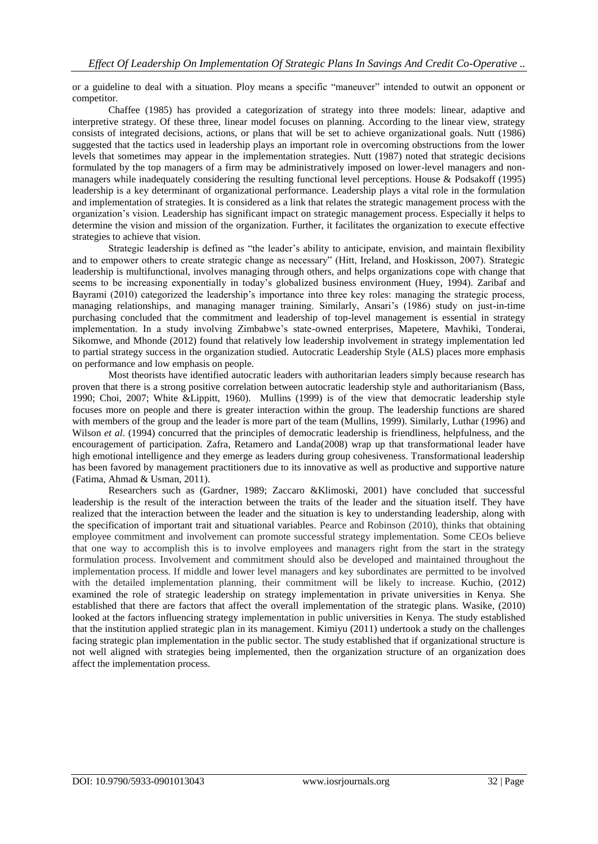or a guideline to deal with a situation. Ploy means a specific "maneuver" intended to outwit an opponent or competitor.

Chaffee (1985) has provided a categorization of strategy into three models: linear, adaptive and interpretive strategy. Of these three, linear model focuses on planning. According to the linear view, strategy consists of integrated decisions, actions, or plans that will be set to achieve organizational goals. Nutt (1986) suggested that the tactics used in leadership plays an important role in overcoming obstructions from the lower levels that sometimes may appear in the implementation strategies. Nutt (1987) noted that strategic decisions formulated by the top managers of a firm may be administratively imposed on lower-level managers and nonmanagers while inadequately considering the resulting functional level perceptions. House & Podsakoff (1995) leadership is a key determinant of organizational performance. Leadership plays a vital role in the formulation and implementation of strategies. It is considered as a link that relates the strategic management process with the organization"s vision. Leadership has significant impact on strategic management process. Especially it helps to determine the vision and mission of the organization. Further, it facilitates the organization to execute effective strategies to achieve that vision.

Strategic leadership is defined as "the leader"s ability to anticipate, envision, and maintain flexibility and to empower others to create strategic change as necessary" (Hitt, Ireland, and Hoskisson, 2007). Strategic leadership is multifunctional, involves managing through others, and helps organizations cope with change that seems to be increasing exponentially in today"s globalized business environment (Huey, 1994). Zaribaf and Bayrami (2010) categorized the leadership's importance into three key roles: managing the strategic process, managing relationships, and managing manager training. Similarly, Ansari"s (1986) study on just-in-time purchasing concluded that the commitment and leadership of top-level management is essential in strategy implementation. In a study involving Zimbabwe"s state-owned enterprises, Mapetere, Mavhiki, Tonderai, Sikomwe, and Mhonde (2012) found that relatively low leadership involvement in strategy implementation led to partial strategy success in the organization studied. Autocratic Leadership Style (ALS) places more emphasis on performance and low emphasis on people.

Most theorists have identified autocratic leaders with authoritarian leaders simply because research has proven that there is a strong positive correlation between autocratic leadership style and authoritarianism (Bass, 1990; Choi, 2007; White &Lippitt, 1960). Mullins (1999) is of the view that democratic leadership style focuses more on people and there is greater interaction within the group. The leadership functions are shared with members of the group and the leader is more part of the team (Mullins, 1999). Similarly, Luthar (1996) and Wilson *et al.* (1994) concurred that the principles of democratic leadership is friendliness, helpfulness, and the encouragement of participation. Zafra, Retamero and Landa(2008) wrap up that transformational leader have high emotional intelligence and they emerge as leaders during group cohesiveness. Transformational leadership has been favored by management practitioners due to its innovative as well as productive and supportive nature (Fatima, Ahmad & Usman, 2011).

Researchers such as (Gardner, 1989; Zaccaro &Klimoski, 2001) have concluded that successful leadership is the result of the interaction between the traits of the leader and the situation itself. They have realized that the interaction between the leader and the situation is key to understanding leadership, along with the specification of important trait and situational variables. Pearce and Robinson (2010), thinks that obtaining employee commitment and involvement can promote successful strategy implementation. Some CEOs believe that one way to accomplish this is to involve employees and managers right from the start in the strategy formulation process. Involvement and commitment should also be developed and maintained throughout the implementation process. If middle and lower level managers and key subordinates are permitted to be involved with the detailed implementation planning, their commitment will be likely to increase. Kuchio, (2012) examined the role of strategic leadership on strategy implementation in private universities in Kenya. She established that there are factors that affect the overall implementation of the strategic plans. Wasike, (2010) looked at the factors influencing strategy implementation in public universities in Kenya. The study established that the institution applied strategic plan in its management. Kimiyu (2011) undertook a study on the challenges facing strategic plan implementation in the public sector. The study established that if organizational structure is not well aligned with strategies being implemented, then the organization structure of an organization does affect the implementation process.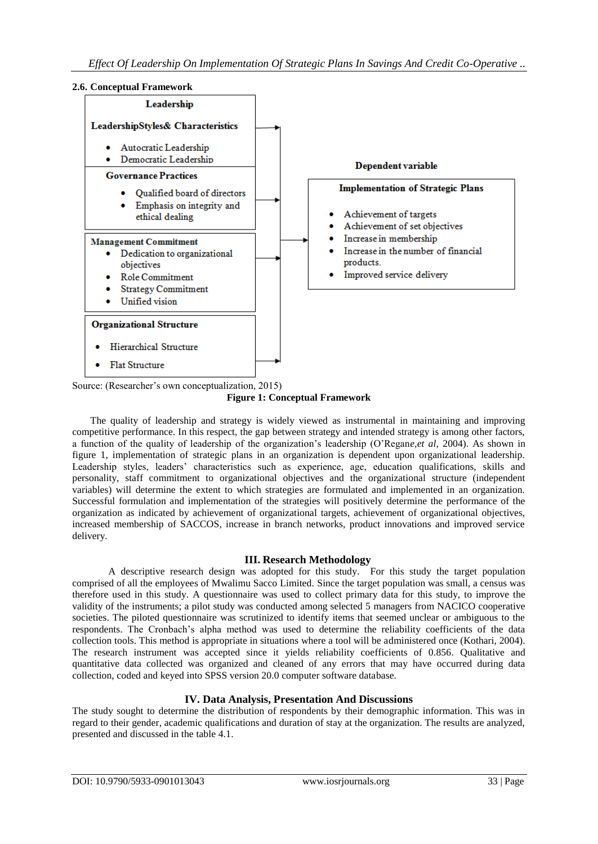#### **2.6. Conceptual Framework**



Source: (Researcher's own conceptualization, 2015)

**Figure 1: Conceptual Framework**

The quality of leadership and strategy is widely viewed as instrumental in maintaining and improving competitive performance. In this respect, the gap between strategy and intended strategy is among other factors, a function of the quality of leadership of the organization"s leadership (O"Regan*e,et al,* 2004). As shown in figure 1, implementation of strategic plans in an organization is dependent upon organizational leadership. Leadership styles, leaders' characteristics such as experience, age, education qualifications, skills and personality, staff commitment to organizational objectives and the organizational structure (independent variables) will determine the extent to which strategies are formulated and implemented in an organization. Successful formulation and implementation of the strategies will positively determine the performance of the organization as indicated by achievement of organizational targets, achievement of organizational objectives, increased membership of SACCOS, increase in branch networks, product innovations and improved service delivery.

## **III. Research Methodology**

A descriptive research design was adopted for this study. For this study the target population comprised of all the employees of Mwalimu Sacco Limited. Since the target population was small, a census was therefore used in this study. A questionnaire was used to collect primary data for this study, to improve the validity of the instruments; a pilot study was conducted among selected 5 managers from NACICO cooperative societies. The piloted questionnaire was scrutinized to identify items that seemed unclear or ambiguous to the respondents. The Cronbach"s alpha method was used to determine the reliability coefficients of the data collection tools. This method is appropriate in situations where a tool will be administered once (Kothari, 2004). The research instrument was accepted since it yields reliability coefficients of 0.856. Qualitative and quantitative data collected was organized and cleaned of any errors that may have occurred during data collection, coded and keyed into SPSS version 20.0 computer software database.

## **IV. Data Analysis, Presentation And Discussions**

The study sought to determine the distribution of respondents by their demographic information. This was in regard to their gender, academic qualifications and duration of stay at the organization. The results are analyzed, presented and discussed in the table 4.1.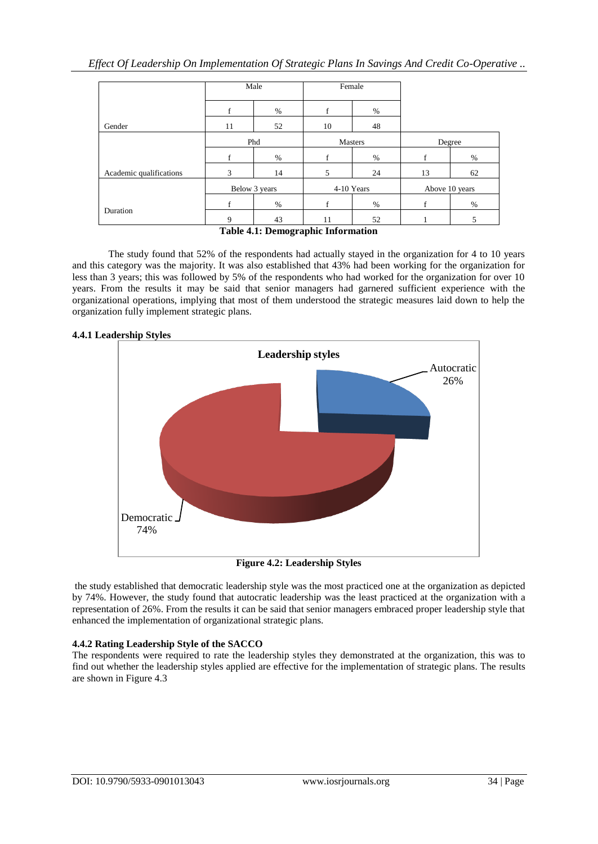|                         | Male          |      |            | Female |                |      |  |
|-------------------------|---------------|------|------------|--------|----------------|------|--|
|                         | f             | $\%$ | f          | %      |                |      |  |
| Gender                  | 11            | 52   | 10         | 48     |                |      |  |
|                         | Phd           |      | Masters    |        | Degree         |      |  |
|                         | f             | %    | f          | $\%$   |                | %    |  |
| Academic qualifications | 3             | 14   | 5          | 24     | 13             | 62   |  |
|                         | Below 3 years |      | 4-10 Years |        | Above 10 years |      |  |
|                         | f             | $\%$ | f          | $\%$   |                | $\%$ |  |
| Duration                | 9             | 43   | 11         | 52     |                | 5    |  |
|                         | -------       |      | $\cdots$   | $\sim$ |                |      |  |

#### **Table 4.1: Demographic Information**

The study found that 52% of the respondents had actually stayed in the organization for 4 to 10 years and this category was the majority. It was also established that 43% had been working for the organization for less than 3 years; this was followed by 5% of the respondents who had worked for the organization for over 10 years. From the results it may be said that senior managers had garnered sufficient experience with the organizational operations, implying that most of them understood the strategic measures laid down to help the organization fully implement strategic plans.



#### **4.4.1 Leadership Styles**

**Figure 4.2: Leadership Styles**

the study established that democratic leadership style was the most practiced one at the organization as depicted by 74%. However, the study found that autocratic leadership was the least practiced at the organization with a representation of 26%. From the results it can be said that senior managers embraced proper leadership style that enhanced the implementation of organizational strategic plans.

## **4.4.2 Rating Leadership Style of the SACCO**

The respondents were required to rate the leadership styles they demonstrated at the organization, this was to find out whether the leadership styles applied are effective for the implementation of strategic plans. The results are shown in Figure 4.3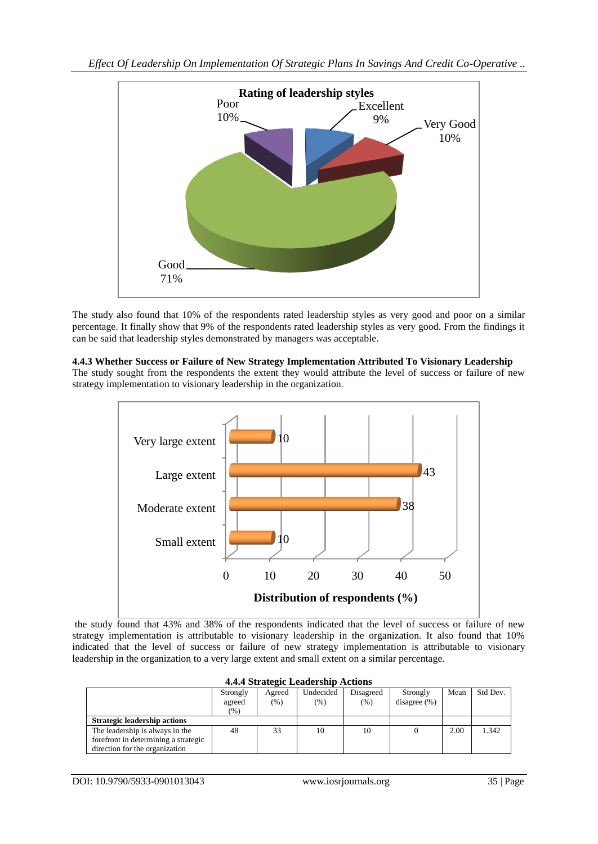

The study also found that 10% of the respondents rated leadership styles as very good and poor on a similar percentage. It finally show that 9% of the respondents rated leadership styles as very good. From the findings it can be said that leadership styles demonstrated by managers was acceptable.

#### **4.4.3 Whether Success or Failure of New Strategy Implementation Attributed To Visionary Leadership**

The study sought from the respondents the extent they would attribute the level of success or failure of new strategy implementation to visionary leadership in the organization.



the study found that 43% and 38% of the respondents indicated that the level of success or failure of new strategy implementation is attributable to visionary leadership in the organization. It also found that 10% indicated that the level of success or failure of new strategy implementation is attributable to visionary leadership in the organization to a very large extent and small extent on a similar percentage.

| 4.4.4 Strategic Leadership Actions   |          |         |           |           |                 |      |          |  |  |  |  |
|--------------------------------------|----------|---------|-----------|-----------|-----------------|------|----------|--|--|--|--|
|                                      | Strongly | Agreed  | Undecided | Disagreed | Strongly        | Mean | Std Dev. |  |  |  |  |
|                                      | agreed   | $(\% )$ | $(\% )$   | $(\% )$   | disagree $(\%)$ |      |          |  |  |  |  |
|                                      | $(\%)$   |         |           |           |                 |      |          |  |  |  |  |
| <b>Strategic leadership actions</b>  |          |         |           |           |                 |      |          |  |  |  |  |
| The leadership is always in the      | 48       | 33      | 10        | 10        |                 | 2.00 | 1.342    |  |  |  |  |
| forefront in determining a strategic |          |         |           |           |                 |      |          |  |  |  |  |
| direction for the organization       |          |         |           |           |                 |      |          |  |  |  |  |

# **4.4.4 Strategic Leadership Actions**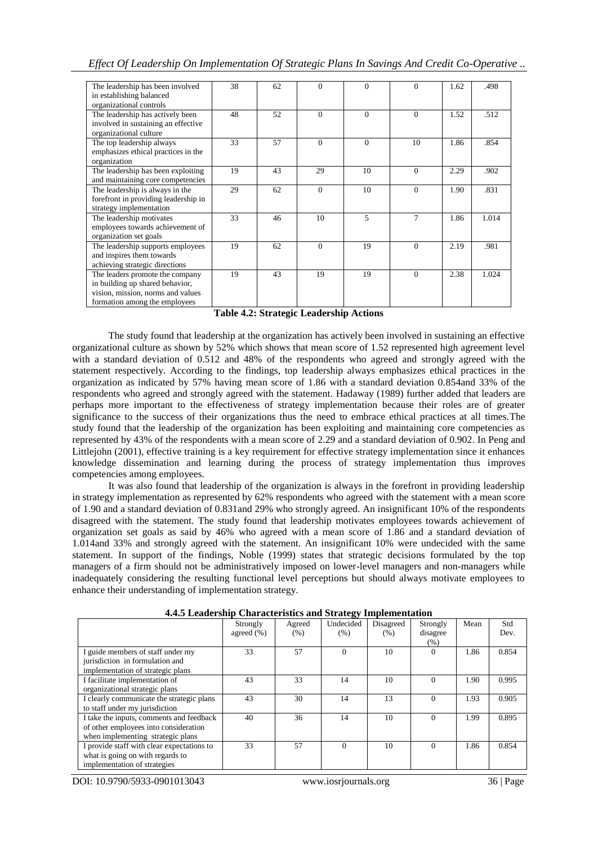| The leadership has been involved<br>in establishing balanced  | 38 | 62 | $\Omega$ | $\Omega$ | 0            | 1.62 | .498  |
|---------------------------------------------------------------|----|----|----------|----------|--------------|------|-------|
| organizational controls                                       |    |    |          |          |              |      |       |
| The leadership has actively been                              | 48 | 52 | $\Omega$ | $\Omega$ | $\mathbf{0}$ | 1.52 | .512  |
| involved in sustaining an effective<br>organizational culture |    |    |          |          |              |      |       |
| The top leadership always                                     | 33 | 57 | $\Omega$ | $\Omega$ | 10           | 1.86 | .854  |
| emphasizes ethical practices in the                           |    |    |          |          |              |      |       |
| organization                                                  |    |    |          |          |              |      |       |
| The leadership has been exploiting                            | 19 | 43 | 29       | 10       | $\Omega$     | 2.29 | .902  |
| and maintaining core competencies                             |    |    |          |          |              |      |       |
| The leadership is always in the                               | 29 | 62 | $\Omega$ | 10       | $\Omega$     | 1.90 | .831  |
|                                                               |    |    |          |          |              |      |       |
| forefront in providing leadership in                          |    |    |          |          |              |      |       |
| strategy implementation                                       |    |    |          |          |              |      |       |
| The leadership motivates                                      | 33 | 46 | 10       | 5        | 7            | 1.86 | 1.014 |
| employees towards achievement of                              |    |    |          |          |              |      |       |
| organization set goals                                        |    |    |          |          |              |      |       |
| The leadership supports employees                             | 19 | 62 | $\Omega$ | 19       | $\Omega$     | 2.19 | .981  |
| and inspires them towards                                     |    |    |          |          |              |      |       |
| achieving strategic directions                                |    |    |          |          |              |      |       |
| The leaders promote the company                               | 19 | 43 | 19       | 19       | $\Omega$     | 2.38 | 1.024 |
| in building up shared behavior,                               |    |    |          |          |              |      |       |
| vision, mission, norms and values                             |    |    |          |          |              |      |       |
| formation among the employees                                 |    |    |          |          |              |      |       |

**Table 4.2: Strategic Leadership Actions**

The study found that leadership at the organization has actively been involved in sustaining an effective organizational culture as shown by 52% which shows that mean score of 1.52 represented high agreement level with a standard deviation of 0.512 and 48% of the respondents who agreed and strongly agreed with the statement respectively. According to the findings, top leadership always emphasizes ethical practices in the organization as indicated by 57% having mean score of 1.86 with a standard deviation 0.854and 33% of the respondents who agreed and strongly agreed with the statement. Hadaway (1989) further added that leaders are perhaps more important to the effectiveness of strategy implementation because their roles are of greater significance to the success of their organizations thus the need to embrace ethical practices at all times.The study found that the leadership of the organization has been exploiting and maintaining core competencies as represented by 43% of the respondents with a mean score of 2.29 and a standard deviation of 0.902. In Peng and Littlejohn (2001), effective training is a key requirement for effective strategy implementation since it enhances knowledge dissemination and learning during the process of strategy implementation thus improves competencies among employees.

It was also found that leadership of the organization is always in the forefront in providing leadership in strategy implementation as represented by 62% respondents who agreed with the statement with a mean score of 1.90 and a standard deviation of 0.831and 29% who strongly agreed. An insignificant 10% of the respondents disagreed with the statement. The study found that leadership motivates employees towards achievement of organization set goals as said by 46% who agreed with a mean score of 1.86 and a standard deviation of 1.014and 33% and strongly agreed with the statement. An insignificant 10% were undecided with the same statement. In support of the findings, Noble (1999) states that strategic decisions formulated by the top managers of a firm should not be administratively imposed on lower-level managers and non-managers while inadequately considering the resulting functional level perceptions but should always motivate employees to enhance their understanding of implementation strategy.

| n ne meach sinp characteristics and strategy imprememation |                |        |           |           |          |      |       |  |  |  |
|------------------------------------------------------------|----------------|--------|-----------|-----------|----------|------|-------|--|--|--|
|                                                            | Strongly       | Agreed | Undecided | Disagreed | Strongly | Mean | Std   |  |  |  |
|                                                            | agreed $(\% )$ | (% )   | (% )      | (% )      | disagree |      | Dev.  |  |  |  |
|                                                            |                |        |           |           | (% )     |      |       |  |  |  |
| I guide members of staff under my                          | 33             | 57     | $\Omega$  | 10        | $\Omega$ | 1.86 | 0.854 |  |  |  |
| jurisdiction in formulation and                            |                |        |           |           |          |      |       |  |  |  |
| implementation of strategic plans                          |                |        |           |           |          |      |       |  |  |  |
| I facilitate implementation of                             | 43             | 33     | 14        | 10        | $\Omega$ | 1.90 | 0.995 |  |  |  |
| organizational strategic plans                             |                |        |           |           |          |      |       |  |  |  |
| I clearly communicate the strategic plans                  | 43             | 30     | 14        | 13        | $\Omega$ | 1.93 | 0.905 |  |  |  |
| to staff under my jurisdiction                             |                |        |           |           |          |      |       |  |  |  |
| I take the inputs, comments and feedback                   | 40             | 36     | 14        | 10        | $\Omega$ | 1.99 | 0.895 |  |  |  |
| of other employees into consideration                      |                |        |           |           |          |      |       |  |  |  |
| when implementing strategic plans                          |                |        |           |           |          |      |       |  |  |  |
| I provide staff with clear expectations to                 | 33             | 57     | $\Omega$  | 10        | $\Omega$ | 1.86 | 0.854 |  |  |  |
| what is going on with regards to                           |                |        |           |           |          |      |       |  |  |  |
| implementation of strategies                               |                |        |           |           |          |      |       |  |  |  |

**4.4.5 Leadership Characteristics and Strategy Implementation**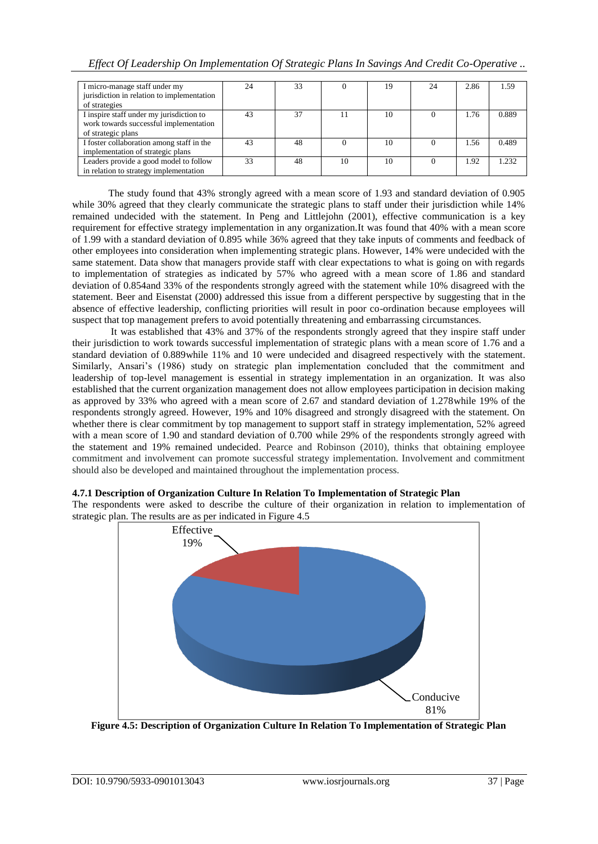| I micro-manage staff under my              | 24 | 33 |    | 19 | 24 | 2.86 | 1.59  |
|--------------------------------------------|----|----|----|----|----|------|-------|
| jurisdiction in relation to implementation |    |    |    |    |    |      |       |
| of strategies                              |    |    |    |    |    |      |       |
| I inspire staff under my jurisdiction to   | 43 | 37 | 11 | 10 |    | 1.76 | 0.889 |
| work towards successful implementation     |    |    |    |    |    |      |       |
| of strategic plans                         |    |    |    |    |    |      |       |
| I foster collaboration among staff in the  | 43 | 48 |    | 10 |    | 1.56 | 0.489 |
| implementation of strategic plans          |    |    |    |    |    |      |       |
| Leaders provide a good model to follow     | 33 | 48 | 10 | 10 |    | 1.92 | 1.232 |
| in relation to strategy implementation     |    |    |    |    |    |      |       |

The study found that 43% strongly agreed with a mean score of 1.93 and standard deviation of 0.905 while 30% agreed that they clearly communicate the strategic plans to staff under their jurisdiction while 14% remained undecided with the statement. In Peng and Littlejohn (2001), effective communication is a key requirement for effective strategy implementation in any organization.It was found that 40% with a mean score of 1.99 with a standard deviation of 0.895 while 36% agreed that they take inputs of comments and feedback of other employees into consideration when implementing strategic plans. However, 14% were undecided with the same statement. Data show that managers provide staff with clear expectations to what is going on with regards to implementation of strategies as indicated by 57% who agreed with a mean score of 1.86 and standard deviation of 0.854and 33% of the respondents strongly agreed with the statement while 10% disagreed with the statement. Beer and Eisenstat (2000) addressed this issue from a different perspective by suggesting that in the absence of effective leadership, conflicting priorities will result in poor co-ordination because employees will suspect that top management prefers to avoid potentially threatening and embarrassing circumstances.

It was established that 43% and 37% of the respondents strongly agreed that they inspire staff under their jurisdiction to work towards successful implementation of strategic plans with a mean score of 1.76 and a standard deviation of 0.889while 11% and 10 were undecided and disagreed respectively with the statement. Similarly, Ansari's (1986) study on strategic plan implementation concluded that the commitment and leadership of top-level management is essential in strategy implementation in an organization. It was also established that the current organization management does not allow employees participation in decision making as approved by 33% who agreed with a mean score of 2.67 and standard deviation of 1.278while 19% of the respondents strongly agreed. However, 19% and 10% disagreed and strongly disagreed with the statement. On whether there is clear commitment by top management to support staff in strategy implementation, 52% agreed with a mean score of 1.90 and standard deviation of 0.700 while 29% of the respondents strongly agreed with the statement and 19% remained undecided. Pearce and Robinson (2010), thinks that obtaining employee commitment and involvement can promote successful strategy implementation. Involvement and commitment should also be developed and maintained throughout the implementation process.

## **4.7.1 Description of Organization Culture In Relation To Implementation of Strategic Plan**

The respondents were asked to describe the culture of their organization in relation to implementation of strategic plan. The results are as per indicated in Figure 4.5



**Figure 4.5: Description of Organization Culture In Relation To Implementation of Strategic Plan**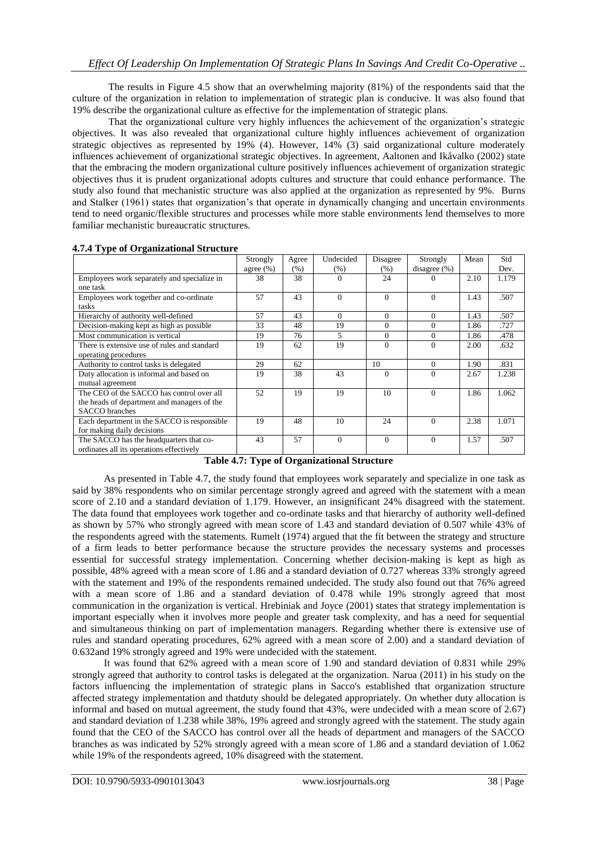The results in Figure 4.5 show that an overwhelming majority (81%) of the respondents said that the culture of the organization in relation to implementation of strategic plan is conducive. It was also found that 19% describe the organizational culture as effective for the implementation of strategic plans.

That the organizational culture very highly influences the achievement of the organization"s strategic objectives. It was also revealed that organizational culture highly influences achievement of organization strategic objectives as represented by 19% (4). However, 14% (3) said organizational culture moderately influences achievement of organizational strategic objectives. In agreement, Aaltonen and Ikåvalko (2002) state that the embracing the modern organizational culture positively influences achievement of organization strategic objectives thus it is prudent organizational adopts cultures and structure that could enhance performance. The study also found that mechanistic structure was also applied at the organization as represented by 9%. Burns and Stalker (1961) states that organization"s that operate in dynamically changing and uncertain environments tend to need organic/flexible structures and processes while more stable environments lend themselves to more familiar mechanistic bureaucratic structures.

|                                              | Strongly      | Agree | Undecided | Disagree | Strongly        | Mean | Std   |
|----------------------------------------------|---------------|-------|-----------|----------|-----------------|------|-------|
|                                              | agree $(\% )$ | (% )  | (% )      | (% )     | disagree $(\%)$ |      | Dev.  |
| Employees work separately and specialize in  | 38            | 38    | $\Omega$  | 24       |                 | 2.10 | 1.179 |
| one task                                     |               |       |           |          |                 |      |       |
| Employees work together and co-ordinate      | 57            | 43    | $\Omega$  | $\Omega$ | $\Omega$        | 1.43 | .507  |
| tasks                                        |               |       |           |          |                 |      |       |
| Hierarchy of authority well-defined          | 57            | 43    | $\Omega$  | $\Omega$ | $\Omega$        | 1.43 | .507  |
| Decision-making kept as high as possible.    | 33            | 48    | 19        | $\Omega$ | $\Omega$        | 1.86 | .727  |
| Most communication is vertical               | 19            | 76    | 5         | $\Omega$ | $\Omega$        | 1.86 | .478  |
| There is extensive use of rules and standard | 19            | 62    | 19        | $\Omega$ | $\Omega$        | 2.00 | .632  |
| operating procedures                         |               |       |           |          |                 |      |       |
| Authority to control tasks is delegated      | 29            | 62    |           | 10       | $\Omega$        | 1.90 | .831  |
| Duty allocation is informal and based on     | 19            | 38    | 43        | $\Omega$ | $\Omega$        | 2.67 | 1.238 |
| mutual agreement                             |               |       |           |          |                 |      |       |
| The CEO of the SACCO has control over all    | 52            | 19    | 19        | 10       | $\Omega$        | 1.86 | 1.062 |
| the heads of department and managers of the  |               |       |           |          |                 |      |       |
| SACCO branches                               |               |       |           |          |                 |      |       |
| Each department in the SACCO is responsible  | 19            | 48    | 10        | 24       | $\Omega$        | 2.38 | 1.071 |
| for making daily decisions                   |               |       |           |          |                 |      |       |
| The SACCO has the headquarters that co-      | 43            | 57    | $\theta$  | $\Omega$ | $\Omega$        | 1.57 | .507  |
| ordinates all its operations effectively     |               |       |           |          |                 |      |       |

**4.7.4 Type of Organizational Structure**

#### **Table 4.7: Type of Organizational Structure**

As presented in Table 4.7, the study found that employees work separately and specialize in one task as said by 38% respondents who on similar percentage strongly agreed and agreed with the statement with a mean score of 2.10 and a standard deviation of 1.179. However, an insignificant 24% disagreed with the statement. The data found that employees work together and co-ordinate tasks and that hierarchy of authority well-defined as shown by 57% who strongly agreed with mean score of 1.43 and standard deviation of 0.507 while 43% of the respondents agreed with the statements. Rumelt (1974) argued that the fit between the strategy and structure of a firm leads to better performance because the structure provides the necessary systems and processes essential for successful strategy implementation. Concerning whether decision-making is kept as high as possible, 48% agreed with a mean score of 1.86 and a standard deviation of 0.727 whereas 33% strongly agreed with the statement and 19% of the respondents remained undecided. The study also found out that 76% agreed with a mean score of 1.86 and a standard deviation of 0.478 while 19% strongly agreed that most communication in the organization is vertical. Hrebiniak and Joyce (2001) states that strategy implementation is important especially when it involves more people and greater task complexity, and has a need for sequential and simultaneous thinking on part of implementation managers. Regarding whether there is extensive use of rules and standard operating procedures, 62% agreed with a mean score of 2.00) and a standard deviation of 0.632and 19% strongly agreed and 19% were undecided with the statement.

It was found that 62% agreed with a mean score of 1.90 and standard deviation of 0.831 while 29% strongly agreed that authority to control tasks is delegated at the organization. Narua (2011) in his study on the factors influencing the implementation of strategic plans in Sacco's established that organization structure affected strategy implementation and thatduty should be delegated appropriately. On whether duty allocation is informal and based on mutual agreement, the study found that 43%, were undecided with a mean score of 2.67) and standard deviation of 1.238 while 38%, 19% agreed and strongly agreed with the statement. The study again found that the CEO of the SACCO has control over all the heads of department and managers of the SACCO branches as was indicated by 52% strongly agreed with a mean score of 1.86 and a standard deviation of 1.062 while 19% of the respondents agreed, 10% disagreed with the statement.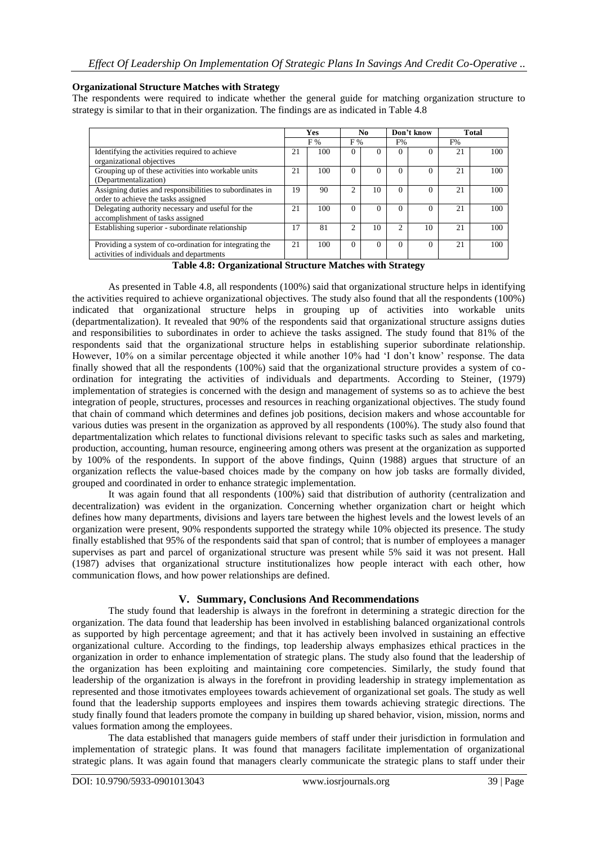#### **Organizational Structure Matches with Strategy**

The respondents were required to indicate whether the general guide for matching organization structure to strategy is similar to that in their organization. The findings are as indicated in Table 4.8

|                                                                                                      | <b>Yes</b> |     |          | N <sub>0</sub> |                | Don't know | <b>Total</b> |     |
|------------------------------------------------------------------------------------------------------|------------|-----|----------|----------------|----------------|------------|--------------|-----|
|                                                                                                      |            | F % | F %      |                | F%             |            | F%           |     |
| Identifying the activities required to achieve<br>organizational objectives                          | 21         | 100 | $\Omega$ | 0              | $\Omega$       | 0          | 21           | 100 |
| Grouping up of these activities into workable units<br>(Departmentalization)                         | 21         | 100 | $\Omega$ | 0              | $\Omega$       |            | 21           | 100 |
| Assigning duties and responsibilities to subordinates in<br>order to achieve the tasks assigned      | 19         | 90  | ◠        | 10             | $\Omega$       | 0          | 21           | 100 |
| Delegating authority necessary and useful for the<br>accomplishment of tasks assigned                | 21         | 100 | $\Omega$ | $\theta$       | $\Omega$       | 0          | 21           | 100 |
| Establishing superior - subordinate relationship                                                     | 17         | 81  | ↑        | 10             | $\mathfrak{D}$ | 10         | 21           | 100 |
| Providing a system of co-ordination for integrating the<br>activities of individuals and departments | 21         | 100 | $\Omega$ | $\Omega$       | $\Omega$       | 0          | 21           | 100 |

**Table 4.8: Organizational Structure Matches with Strategy**

As presented in Table 4.8, all respondents (100%) said that organizational structure helps in identifying the activities required to achieve organizational objectives. The study also found that all the respondents (100%) indicated that organizational structure helps in grouping up of activities into workable units (departmentalization). It revealed that 90% of the respondents said that organizational structure assigns duties and responsibilities to subordinates in order to achieve the tasks assigned. The study found that 81% of the respondents said that the organizational structure helps in establishing superior subordinate relationship. However, 10% on a similar percentage objected it while another 10% had 'I don't know' response. The data finally showed that all the respondents (100%) said that the organizational structure provides a system of coordination for integrating the activities of individuals and departments. According to Steiner, (1979) implementation of strategies is concerned with the design and management of systems so as to achieve the best integration of people, structures, processes and resources in reaching organizational objectives. The study found that chain of command which determines and defines job positions, decision makers and whose accountable for various duties was present in the organization as approved by all respondents (100%). The study also found that departmentalization which relates to functional divisions relevant to specific tasks such as sales and marketing, production, accounting, human resource, engineering among others was present at the organization as supported by 100% of the respondents. In support of the above findings, Quinn (1988) argues that structure of an organization reflects the value-based choices made by the company on how job tasks are formally divided, grouped and coordinated in order to enhance strategic implementation.

It was again found that all respondents (100%) said that distribution of authority (centralization and decentralization) was evident in the organization. Concerning whether organization chart or height which defines how many departments, divisions and layers tare between the highest levels and the lowest levels of an organization were present, 90% respondents supported the strategy while 10% objected its presence. The study finally established that 95% of the respondents said that span of control; that is number of employees a manager supervises as part and parcel of organizational structure was present while 5% said it was not present. Hall (1987) advises that organizational structure institutionalizes how people interact with each other, how communication flows, and how power relationships are defined.

## **V. Summary, Conclusions And Recommendations**

The study found that leadership is always in the forefront in determining a strategic direction for the organization. The data found that leadership has been involved in establishing balanced organizational controls as supported by high percentage agreement; and that it has actively been involved in sustaining an effective organizational culture. According to the findings, top leadership always emphasizes ethical practices in the organization in order to enhance implementation of strategic plans. The study also found that the leadership of the organization has been exploiting and maintaining core competencies. Similarly, the study found that leadership of the organization is always in the forefront in providing leadership in strategy implementation as represented and those itmotivates employees towards achievement of organizational set goals. The study as well found that the leadership supports employees and inspires them towards achieving strategic directions. The study finally found that leaders promote the company in building up shared behavior, vision, mission, norms and values formation among the employees.

The data established that managers guide members of staff under their jurisdiction in formulation and implementation of strategic plans. It was found that managers facilitate implementation of organizational strategic plans. It was again found that managers clearly communicate the strategic plans to staff under their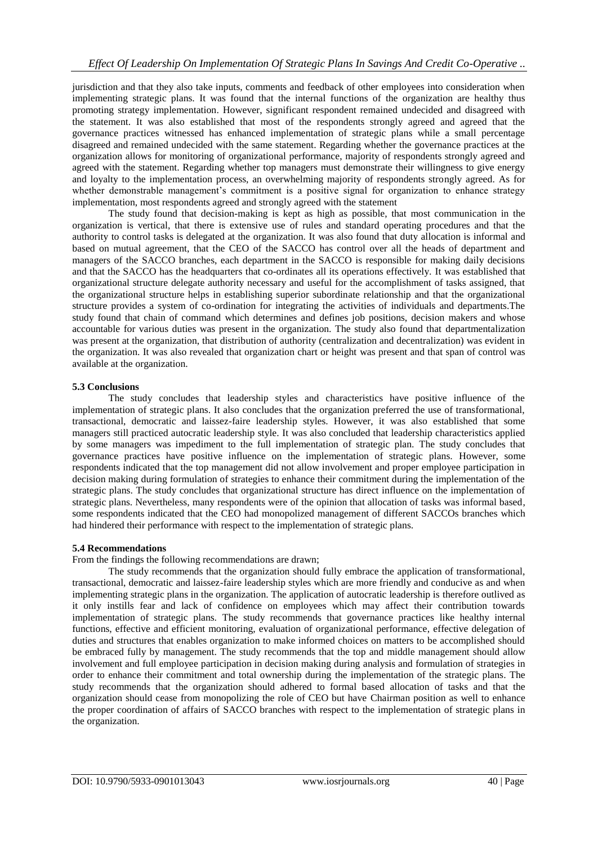jurisdiction and that they also take inputs, comments and feedback of other employees into consideration when implementing strategic plans. It was found that the internal functions of the organization are healthy thus promoting strategy implementation. However, significant respondent remained undecided and disagreed with the statement. It was also established that most of the respondents strongly agreed and agreed that the governance practices witnessed has enhanced implementation of strategic plans while a small percentage disagreed and remained undecided with the same statement. Regarding whether the governance practices at the organization allows for monitoring of organizational performance, majority of respondents strongly agreed and agreed with the statement. Regarding whether top managers must demonstrate their willingness to give energy and loyalty to the implementation process, an overwhelming majority of respondents strongly agreed. As for whether demonstrable management's commitment is a positive signal for organization to enhance strategy implementation, most respondents agreed and strongly agreed with the statement

The study found that decision-making is kept as high as possible, that most communication in the organization is vertical, that there is extensive use of rules and standard operating procedures and that the authority to control tasks is delegated at the organization. It was also found that duty allocation is informal and based on mutual agreement, that the CEO of the SACCO has control over all the heads of department and managers of the SACCO branches, each department in the SACCO is responsible for making daily decisions and that the SACCO has the headquarters that co-ordinates all its operations effectively. It was established that organizational structure delegate authority necessary and useful for the accomplishment of tasks assigned, that the organizational structure helps in establishing superior subordinate relationship and that the organizational structure provides a system of co-ordination for integrating the activities of individuals and departments.The study found that chain of command which determines and defines job positions, decision makers and whose accountable for various duties was present in the organization. The study also found that departmentalization was present at the organization, that distribution of authority (centralization and decentralization) was evident in the organization. It was also revealed that organization chart or height was present and that span of control was available at the organization.

#### **5.3 Conclusions**

The study concludes that leadership styles and characteristics have positive influence of the implementation of strategic plans. It also concludes that the organization preferred the use of transformational, transactional, democratic and laissez-faire leadership styles. However, it was also established that some managers still practiced autocratic leadership style. It was also concluded that leadership characteristics applied by some managers was impediment to the full implementation of strategic plan. The study concludes that governance practices have positive influence on the implementation of strategic plans. However, some respondents indicated that the top management did not allow involvement and proper employee participation in decision making during formulation of strategies to enhance their commitment during the implementation of the strategic plans. The study concludes that organizational structure has direct influence on the implementation of strategic plans. Nevertheless, many respondents were of the opinion that allocation of tasks was informal based, some respondents indicated that the CEO had monopolized management of different SACCOs branches which had hindered their performance with respect to the implementation of strategic plans.

#### **5.4 Recommendations**

From the findings the following recommendations are drawn;

The study recommends that the organization should fully embrace the application of transformational, transactional, democratic and laissez-faire leadership styles which are more friendly and conducive as and when implementing strategic plans in the organization. The application of autocratic leadership is therefore outlived as it only instills fear and lack of confidence on employees which may affect their contribution towards implementation of strategic plans. The study recommends that governance practices like healthy internal functions, effective and efficient monitoring, evaluation of organizational performance, effective delegation of duties and structures that enables organization to make informed choices on matters to be accomplished should be embraced fully by management. The study recommends that the top and middle management should allow involvement and full employee participation in decision making during analysis and formulation of strategies in order to enhance their commitment and total ownership during the implementation of the strategic plans. The study recommends that the organization should adhered to formal based allocation of tasks and that the organization should cease from monopolizing the role of CEO but have Chairman position as well to enhance the proper coordination of affairs of SACCO branches with respect to the implementation of strategic plans in the organization.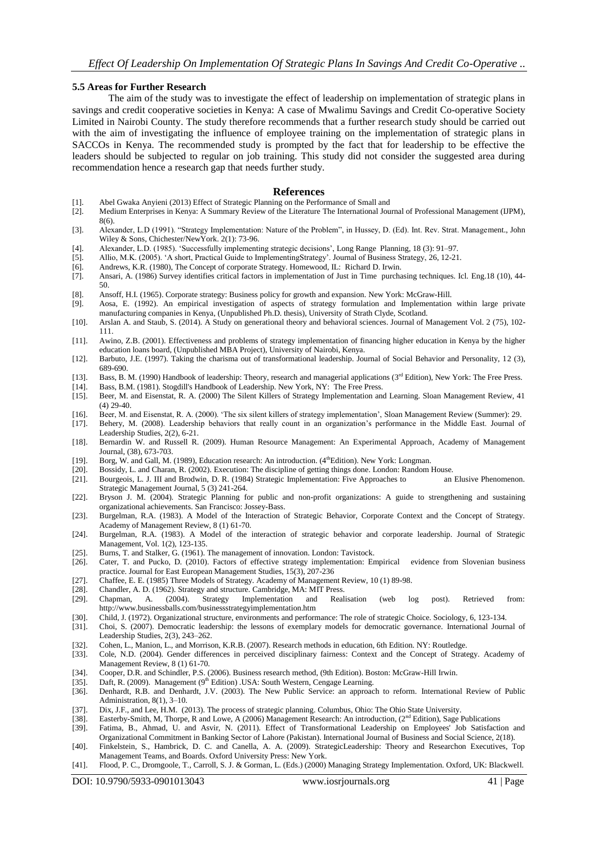#### **5.5 Areas for Further Research**

The aim of the study was to investigate the effect of leadership on implementation of strategic plans in savings and credit cooperative societies in Kenya: A case of Mwalimu Savings and Credit Co-operative Society Limited in Nairobi County. The study therefore recommends that a further research study should be carried out with the aim of investigating the influence of employee training on the implementation of strategic plans in SACCOs in Kenya. The recommended study is prompted by the fact that for leadership to be effective the leaders should be subjected to regular on job training. This study did not consider the suggested area during recommendation hence a research gap that needs further study.

#### **References**

- [1]. Abel Gwaka Anyieni (2013) Effect of Strategic Planning on the Performance of Small and
- [2]. Medium Enterprises in Kenya: A Summary Review of the Literature The International Journal of Professional Management (IJPM), 8(6).
- [3]. Alexander, L.D (1991). "Strategy Implementation: Nature of the Problem", in Hussey, D. (Ed). Int. Rev. Strat. Management., John Wiley & Sons, Chichester/NewYork. 2(1): 73-96.
- [4]. Alexander, L.D. (1985). "Successfully implementing strategic decisions", Long Range Planning, 18 (3): 91–97.
- [5]. Allio, M.K. (2005). "A short, Practical Guide to ImplementingStrategy". Journal of Business Strategy, 26, 12-21.
- [6]. Andrews, K.R. (1980), The Concept of corporate Strategy. Homewood, IL: Richard D. Irwin.
- [7]. Ansari, A. (1986) Survey identifies critical factors in implementation of Just in Time purchasing techniques. Icl. Eng.18 (10), 44- 50.
- [8]. Ansoff, H.I. (1965). Corporate strategy: Business policy for growth and expansion. New York: McGraw-Hill.
- [9]. Aosa, E. (1992). An empirical investigation of aspects of strategy formulation and Implementation within large private manufacturing companies in Kenya, (Unpublished Ph.D. thesis), University of Strath Clyde, Scotland.
- [10]. Arslan A. and Staub, S. (2014). A Study on generational theory and behavioral sciences. Journal of Management Vol. 2 (75), 102- 111.
- [11]. Awino, Z.B. (2001). Effectiveness and problems of strategy implementation of financing higher education in Kenya by the higher education loans board, (Unpublished MBA Project), University of Nairobi, Kenya.
- [12]. Barbuto, J.E. (1997). Taking the charisma out of transformational leadership. Journal of Social Behavior and Personality, 12 (3), 689-690.
- [13]. Bass, B. M. (1990) Handbook of leadership: Theory, research and managerial applications (3<sup>rd</sup> Edition), New York: The Free Press.
- [14]. Bass, B.M. (1981). Stogdill's Handbook of Leadership. New York, NY: The Free Press.
- [15]. Beer, M. and Eisenstat, R. A. (2000) The Silent Killers of Strategy Implementation and Learning. Sloan Management Review, 41 (4) 29-40.
- [16]. Beer, M. and Eisenstat, R. A. (2000). "The six silent killers of strategy implementation", Sloan Management Review (Summer): 29.
- [17]. Behery, M. (2008). Leadership behaviors that really count in an organization"s performance in the Middle East. Journal of Leadership Studies, 2(2), 6-21.
- [18]. Bernardin W. and Russell R. (2009). Human Resource Management: An Experimental Approach, Academy of Management Journal, (38), 673-703.
- [19]. Borg, W. and Gall, M. (1989), Education research: An introduction. (4<sup>th</sup>Edition). New York: Longman.
- [20]. Bossidy, L. and Charan, R. (2002). Execution: The discipline of getting things done. London: Random House.
- [21]. Bourgeois, L. J. III and Brodwin, D. R. (1984) Strategic Implementation: Five Approaches to an Elusive Phenomenon. Strategic Management Journal, 5 (3) 241-264.
- [22]. Bryson J. M. (2004). Strategic Planning for public and non-profit organizations: A guide to strengthening and sustaining organizational achievements. San Francisco: Jossey-Bass.
- [23]. Burgelman, R.A. (1983). A Model of the Interaction of Strategic Behavior, Corporate Context and the Concept of Strategy. Academy of Management Review, 8 (1) 61-70.
- [24]. Burgelman, R.A. (1983). A Model of the interaction of strategic behavior and corporate leadership. Journal of Strategic Management, Vol. 1(2), 123-135.
- [25]. Burns, T. and Stalker, G. (1961). The management of innovation. London: Tavistock.
- [26]. Cater, T. and Pucko, D. (2010). Factors of effective strategy implementation: Empirical evidence from Slovenian business practice. Journal for East European Management Studies, 15(3), 207-236
- [27]. Chaffee, E. E. (1985) Three Models of Strategy. Academy of Management Review, 10 (1) 89-98.
- [28]. Chandler, A. D. (1962). Strategy and structure. Cambridge, MA: MIT Press.
- [29]. Chapman, A. (2004). Strategy Implementation and Realisation (web log post). Retrieved from: http://www.businessballs.com/businessstrategyimplementation.htm
- [30]. Child, J. (1972). Organizational structure, environments and performance: The role of strategic Choice. Sociology, 6, 123-134.
- [31]. Choi, S. (2007). Democratic leadership: the lessons of exemplary models for democratic governance. International Journal of Leadership Studies, 2(3), 243–262.
- [32]. Cohen, L., Manion, L., and Morrison, K.R.B. (2007). Research methods in education, 6th Edition. NY: Routledge.
- [33]. Cole, N.D. (2004). Gender differences in perceived disciplinary fairness: Context and the Concept of Strategy. Academy of Management Review, 8 (1) 61-70.
- [34]. Cooper, D.R. and Schindler, P.S. (2006). Business research method, (9th Edition). Boston: McGraw-Hill Irwin.
- [35]. Daft, R. (2009). Management (9<sup>th</sup> Edition) .USA: South Western, Cengage Learning.
- [36]. Denhardt, R.B. and Denhardt, J.V. (2003). The New Public Service: an approach to reform. International Review of Public Administration, 8(1), 3–10.
- [37]. Dix, J.F., and Lee, H.M. (2013). The process of strategic planning. Columbus, Ohio: The Ohio State University.
- [38]. Easterby-Smith, M, Thorpe, R and Lowe, A (2006) Management Research: An introduction, ( $2<sup>nd</sup> Edition$ ), Sage Publications [39]. Fatima, B., Ahmad, U. and Asvir, N. (2011). Effect of Transformational Leadership on Emplo Fatima, B., Ahmad, U. and Asvir, N. (2011). Effect of Transformational Leadership on Employees' Job Satisfaction and
- Organizational Commitment in Banking Sector of Lahore (Pakistan). International Journal of Business and Social Science, 2(18). [40]. Finkelstein, S., Hambrick, D. C. and Canella, A. A. (2009). StrategicLeadership: Theory and Researchon Executives, Top
- Management Teams, and Boards. Oxford University Press: New York.
- [41]. Flood, P. C., Dromgoole, T., Carroll, S. J. & Gorman, L. (Eds.) (2000) Managing Strategy Implementation. Oxford, UK: Blackwell.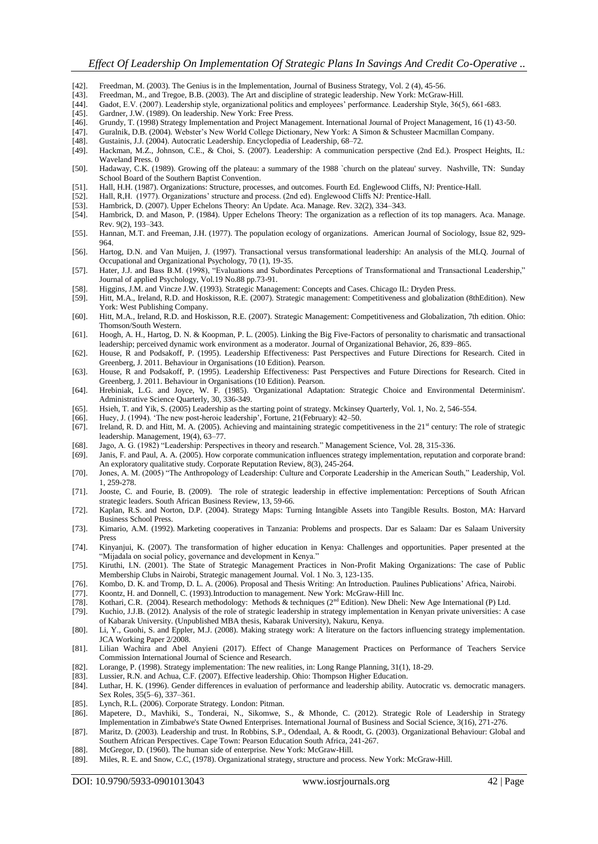- [42]. Freedman, M. (2003). The Genius is in the Implementation, Journal of Business Strategy, Vol. 2 (4), 45-56.
- [43]. Freedman, M., and Tregoe, B.B. (2003). The Art and discipline of strategic leadership. New York: McGraw-Hill. [44]. Gadot, E.V. (2007). Leadership style, organizational politics and employees' performance. Leadership
- [44]. Gadot, E.V. (2007). Leadership style, organizational politics and employees" performance. Leadership Style, 36(5), 661-683.
- [45]. Gardner, J.W. (1989). On leadership. New York: Free Press.
- [46]. Grundy, T. (1998) Strategy Implementation and Project Management. International Journal of Project Management, 16 (1) 43-50.<br>[47]. Guralnik, D.B. (2004). Webster's New World College Dictionary, New York: A Simon & Sc
- [47]. Guralnik, D.B. (2004). Webster's New World College Dictionary, New York: A Simon & Schusteer Macmillan Company.<br>[48]. Gustainis, J.J. (2004). Autocratic Leadership. Encyclopedia of Leadership. 68–72.
- [48]. Gustainis, J.J. (2004). Autocratic Leadership. Encyclopedia of Leadership, 68–72.
- [49]. Hackman, M.Z., Johnson, C.E., & Choi, S. (2007). Leadership: A communication perspective (2nd Ed.). Prospect Heights, IL: Waveland Press. 0
- [50]. Hadaway, C.K. (1989). Growing off the plateau: a summary of the 1988 `church on the plateau' survey. Nashville, TN: Sunday School Board of the Southern Baptist Convention.
- [51]. Hall, H.H. (1987). Organizations: Structure, processes, and outcomes. Fourth Ed. Englewood Cliffs, NJ: Prentice-Hall.
- [52]. Hall, R,H. (1977). Organizations' structure and process. (2nd ed). Englewood Cliffs NJ: Prentice-Hall. [53]. Hambrick, D. (2007). Upper Echelons Theory: An Update. Aca. Manage. Rev. 32(2), 334–343.
- Hambrick, D. (2007). Upper Echelons Theory: An Update. Aca. Manage. Rev. 32(2), 334–343.
- [54]. Hambrick, D. and Mason, P. (1984). Upper Echelons Theory: The organization as a reflection of its top managers. Aca. Manage. Rev. 9(2), 193–343.
- [55]. Hannan, M.T. and Freeman, J.H. (1977). The population ecology of organizations. American Journal of Sociology, Issue 82, 929- 964.
- [56]. Hartog, D.N. and Van Muijen, J. (1997). Transactional versus transformational leadership: An analysis of the MLQ. Journal of Occupational and Organizational Psychology, 70 (1), 19-35.
- [57]. Hater, J.J. and Bass B.M. (1998), "Evaluations and Subordinates Perceptions of Transformational and Transactional Leadership," Journal of applied Psychology, Vol.19 No.88 pp.73-91.
- [58]. Higgins, J.M. and Vincze J.W. (1993). Strategic Management: Concepts and Cases. Chicago IL: Dryden Press.
- [59]. Hitt, M.A., Ireland, R.D. and Hoskisson, R.E. (2007). Strategic management: Competitiveness and globalization (8thEdition). New York: West Publishing Company.
- [60]. Hitt, M.A., Ireland, R.D. and Hoskisson, R.E. (2007). Strategic Management: Competitiveness and Globalization, 7th edition. Ohio: Thomson/South Western.
- [61]. Hoogh, A. H., Hartog, D. N. & Koopman, P. L. (2005). Linking the Big Five-Factors of personality to charismatic and transactional leadership; perceived dynamic work environment as a moderator. Journal of Organizational Behavior, 26, 839–865.
- [62]. House, R and Podsakoff, P. (1995). Leadership Effectiveness: Past Perspectives and Future Directions for Research. Cited in Greenberg, J. 2011. Behaviour in Organisations (10 Edition). Pearson.
- [63]. House, R and Podsakoff, P. (1995). Leadership Effectiveness: Past Perspectives and Future Directions for Research. Cited in Greenberg, J. 2011. Behaviour in Organisations (10 Edition). Pearson.
- [64]. Hrebiniak, L.G. and Joyce, W. F. (1985). 'Organizational Adaptation: Strategic Choice and Environmental Determinism'. Administrative Science Quarterly, 30, 336-349.
- [65]. Hsieh, T. and Yik, S. (2005) Leadership as the starting point of strategy. Mckinsey Quarterly, Vol. 1, No. 2, 546-554.
- [66]. Huey, J. (1994). 'The new post-heroic leadership', Fortune, 21(February): 42–50.
- [67]. Ireland, R. D. and Hitt, M. A. (2005). Achieving and maintaining strategic competitiveness in the 21<sup>st</sup> century: The role of strategic leadership. Management, 19(4), 63–77.
- [68]. Jago, A. G. (1982) "Leadership: Perspectives in theory and research." Management Science, Vol. 28, 315-336.
- [69]. Janis, F. and Paul, A. A. (2005). How corporate communication influences strategy implementation, reputation and corporate brand: An exploratory qualitative study. Corporate Reputation Review, 8(3), 245-264.
- [70]. Jones, A. M. (2005) "The Anthropology of Leadership: Culture and Corporate Leadership in the American South," Leadership, Vol. 1, 259-278.
- [71]. Jooste, C. and Fourie, B. (2009). The role of strategic leadership in effective implementation: Perceptions of South African strategic leaders. South African Business Review, 13, 59-66.
- [72]. Kaplan, R.S. and Norton, D.P. (2004). Strategy Maps: Turning Intangible Assets into Tangible Results. Boston, MA: Harvard Business School Press.
- [73]. Kimario, A.M. (1992). Marketing cooperatives in Tanzania: Problems and prospects. Dar es Salaam: Dar es Salaam University Press
- [74]. Kinyanjui, K. (2007). The transformation of higher education in Kenya: Challenges and opportunities. Paper presented at the "Mijadala on social policy, governance and development in Kenya."
- [75]. Kiruthi, I.N. (2001). The State of Strategic Management Practices in Non-Profit Making Organizations: The case of Public Membership Clubs in Nairobi, Strategic management Journal. Vol. 1 No. 3, 123-135.
- [76]. Kombo, D. K. and Tromp, D. L. A. (2006). Proposal and Thesis Writing: An Introduction. Paulines Publications" Africa, Nairobi.
- [77]. Koontz, H. and Donnell, C. (1993).Introduction to management. New York: McGraw-Hill Inc.
- [78]. Kothari, C.R. (2004). Research methodology: Methods & techniques (2<sup>nd</sup> Edition). New Dheli: New Age International (P) Ltd.
- [79]. Kuchio, J.J.B. (2012). Analysis of the role of strategic leadership in strategy implementation in Kenyan private universities: A case
- of Kabarak University. (Unpublished MBA thesis, Kabarak University), Nakuru, Kenya.
- [80]. Li, Y., Guohi, S. and Eppler, M.J. (2008). Making strategy work: A literature on the factors influencing strategy implementation. JCA Working Paper 2/2008.
- [81]. Lilian Wachira and Abel Anyieni (2017). Effect of Change Management Practices on Performance of Teachers Service Commission International Journal of Science and Research.
- [82]. Lorange, P. (1998). Strategy implementation: The new realities, in: Long Range Planning, 31(1), 18-29.
- [83]. Lussier, R.N. and Achua, C.F. (2007). Effective leadership. Ohio: Thompson Higher Education.
- [84]. Luthar, H. K. (1996). Gender differences in evaluation of performance and leadership ability. Autocratic vs. democratic managers. Sex Roles, 35(5–6), 337–361.
- [85]. Lynch, R.L. (2006). Corporate Strategy. London: Pitman.
- [86]. Mapetere, D., Mavhiki, S., Tonderai, N., Sikomwe, S., & Mhonde, C. (2012). Strategic Role of Leadership in Strategy Implementation in Zimbabwe's State Owned Enterprises. International Journal of Business and Social Science, 3(16), 271-276.
- [87]. Maritz, D. (2003). Leadership and trust. In Robbins, S.P., Odendaal, A. & Roodt, G. (2003). Organizational Behaviour: Global and Southern African Perspectives. Cape Town: Pearson Education South Africa, 241-267.
- [88]. McGregor, D. (1960). The human side of enterprise. New York: McGraw-Hill.
- [89]. Miles, R. E. and Snow, C.C, (1978). Organizational strategy, structure and process. New York: McGraw-Hill.